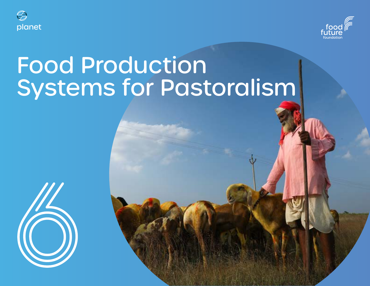



# Food Production Systems for Pastoralism

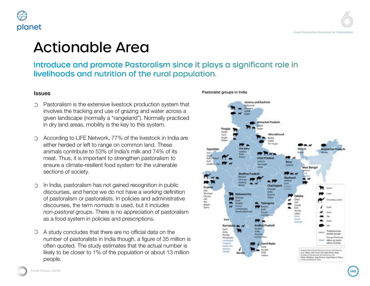## ionable Area

Ice and promote Pastoralism since it plays a significant role in lods and nutrition of the rural population.

Pastoralism is the extensive livestock production system that involves the tracking and use of grazing and water across a given landscape (normally a "rangeland"). Normally practiced in dry land areas, mobility is the key to this system.

According to LIFE Network, 77% of the livestock in India are either herded or left to range on common land. These animals contribute to 53% of India's milk and 74% of its meat. Thus, it is important to strengthen pastoralism to ensure a climate-resilient food system for the vulnerable sections of society.

In India, pastoralism has not gained recognition in public discourses, and hence we do not have a working definition of pastoralism or pastoralists. In policies and administrative discourses, the term *nomads* is used, but it includes *non-pastoral* groups. There is no appreciation of pastoralism as a food system in policies and prescriptions.

A study concludes that there are no official data on the number of pastoralists in India though, a figure of 35 million is often quoted. The study estimates that the actual number is likely to be closer to 1% of the population or about 13 million

#### Pastoralist groups in India



people.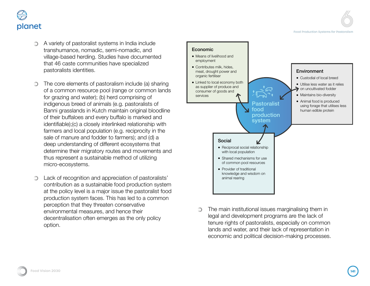

- A variety of pastoralist systems in India include transhumance, nomadic, semi-nomadic, and village-based herding. Studies have documented that 46 caste communities have specialized pastoralists identities.
- The core elements of pastoralism include (a) sharing of a common resource pool (range or common lands for grazing and water); (b) herd comprising of indigenous breed of animals (e.g. pastoralists of Banni grasslands in Kutch maintain original bloodline of their buffaloes and every buffalo is marked and identifiable);(c) a closely interlinked relationship with farmers and local population (e.g. reciprocity in the sale of manure and fodder to farmers); and (d) a deep understanding of different ecosystems that determine their migratory routes and movements and thus represent a sustainable method of utilizing micro-ecosystems.
- Lack of recognition and appreciation of pastoralists' contribution as a sustainable food production system at the policy level is a major issue the pastoralist food production system faces. This has led to a common perception that they threaten conservative environmental measures, and hence their decentralisation often emerges as the only policy option.



The main institutional issues marginalising them in O legal and development programs are the lack of tenure rights of pastoralists, especially on common lands and water, and their lack of representation in economic and political decision-making processes.

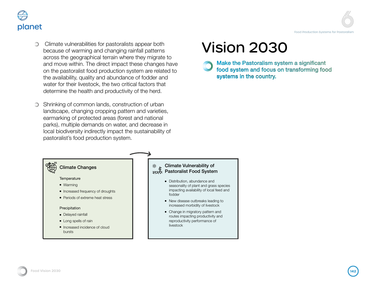

- Climate vulnerabilities for pastoralists appear both  $\circledcirc$ because of warming and changing rainfall patterns across the geographical terrain where they migrate to and move within. The direct impact these changes have on the pastoralist food production system are related to the availability, quality and abundance of fodder and water for their livestock, the two critical factors that determine the health and productivity of the herd.
- Shrinking of common lands, construction of urban landscape, changing cropping pattern and varieties, earmarking of protected areas (forest and national parks), multiple demands on water, and decrease in local biodiversity indirectly impact the sustainability of pastoralist's food production system.

# Vision 2030

Make the Pastoralism system a significant food system and focus on transforming food systems in the country.

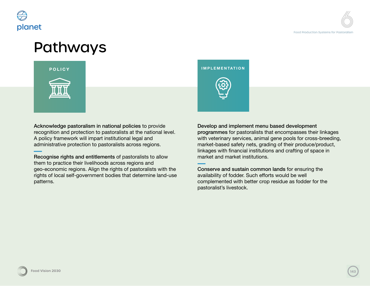

### Pathways



Acknowledge pastoralism in national policies to provide recognition and protection to pastoralists at the national level. A policy framework will impart institutional legal and administrative protection to pastoralists across regions.

Recognise rights and entitlements of pastoralists to allow them to practice their livelihoods across regions and geo-economic regions. Align the rights of pastoralists with the rights of local self-government bodies that determine land-use patterns.

**POLICY IMPLEMENTATION**

Develop and implement menu based development programmes for pastoralists that encompasses their linkages with veterinary services, animal gene pools for cross-breeding, market-based safety nets, grading of their produce/product, linkages with financial institutions and crafting of space in market and market institutions.

Conserve and sustain common lands for ensuring the availability of fodder. Such efforts would be well complemented with better crop residue as fodder for the pastoralist's livestock.